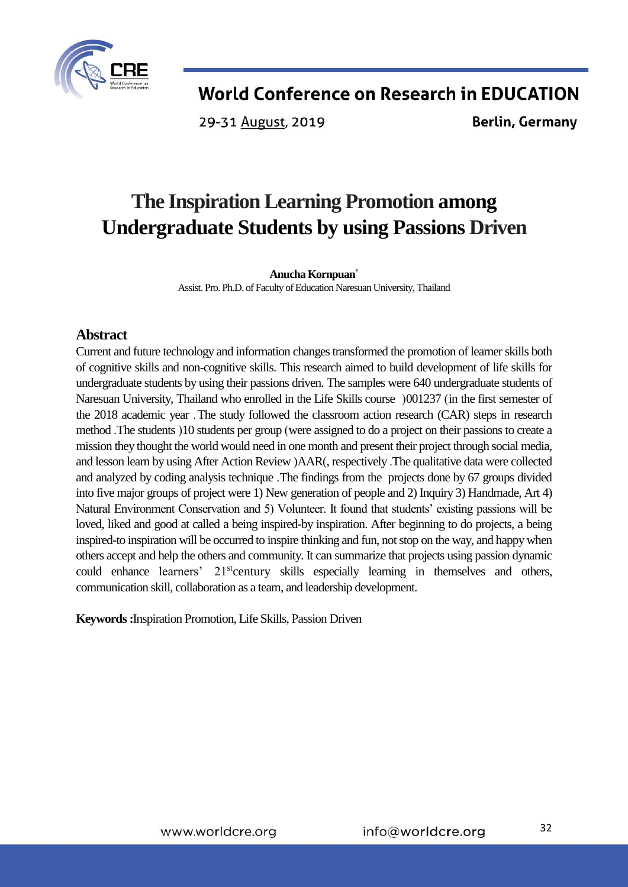

29-31 August, 2019

**Berlin, Germany** 

# **The Inspiration Learning Promotion among Undergraduate Students by using Passions Driven**

### **Anucha Kornpuan\***

Assist. Pro. Ph.D. of Faculty of Education Naresuan University, Thailand

## **Abstract**

Current and future technology and information changes transformed the promotion of learner skills both of cognitive skills and non-cognitive skills. This research aimed to build development of life skills for undergraduate students by using their passions driven. The samples were 640 undergraduate students of Naresuan University, Thailand who enrolled in the Life Skills course (001237 (in the first semester of the 2018 academic year .The study followed the classroom action research (CAR) steps in research method .The students (10 students per group (were assigned to do a project on their passions to create a mission they thought the world would need in one month and present their project through social media, and lesson learn by using After Action Review )AAR(, respectively .The qualitative data were collected and analyzed by coding analysis technique .The findings from the projects done by 67 groups divided into five major groups of project were 1) New generation of people and 2) Inquiry 3) Handmade, Art 4) Natural Environment Conservation and 5) Volunteer. It found that students' existing passions will be loved, liked and good at called a being inspired-by inspiration. After beginning to do projects, a being inspired-to inspiration will be occurred to inspire thinking and fun, not stop on the way, and happy when others accept and help the others and community. It can summarize that projects using passion dynamic could enhance learners' 21<sup>st</sup>century skills especially learning in themselves and others, communication skill, collaboration as a team, and leadership development.

## **Keywords :**Inspiration Promotion, Life Skills, Passion Driven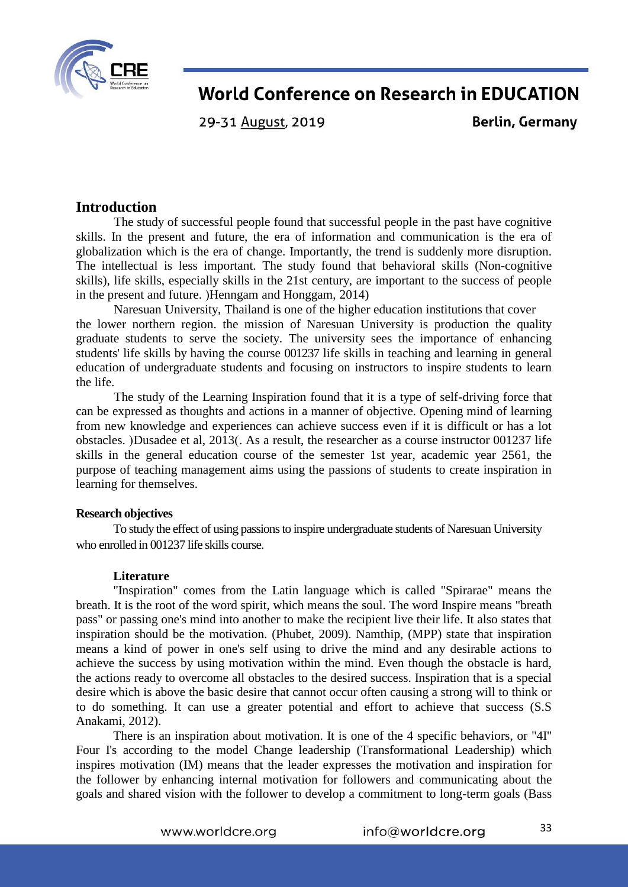

29-31 August, 2019

**Berlin, Germany** 

## **Introduction**

The study of successful people found that successful people in the past have cognitive skills. In the present and future, the era of information and communication is the era of globalization which is the era of change. Importantly, the trend is suddenly more disruption. The intellectual is less important. The study found that behavioral skills (Non-cognitive skills), life skills, especially skills in the 21st century, are important to the success of people in the present and future.  $H$ enngam and  $H$ onggam, 2014)

Naresuan University, Thailand is one of the higher education institutions that cover the lower northern region. the mission of Naresuan University is production the quality graduate students to serve the society. The university sees the importance of enhancing students' life skills by having the course 001237 life skills in teaching and learning in general education of undergraduate students and focusing on instructors to inspire students to learn the life.

The study of the Learning Inspiration found that it is a type of self-driving force that can be expressed as thoughts and actions in a manner of objective. Opening mind of learning from new knowledge and experiences can achieve success even if it is difficult or has a lot obstacles. (Dusadee et al, 2013). As a result, the researcher as a course instructor 001237 life skills in the general education course of the semester 1st year, academic year 2561, the purpose of teaching management aims using the passions of students to create inspiration in learning for themselves.

#### **Research objectives**

To study the effect of using passions to inspire undergraduate students of Naresuan University who enrolled in 001237 life skills course.

#### **Literature**

"Inspiration" comes from the Latin language which is called "Spirarae" means the breath. It is the root of the word spirit, which means the soul. The word Inspire means "breath pass" or passing one's mind into another to make the recipient live their life. It also states that inspiration should be the motivation. (Phubet, 2009). Namthip, (MPP) state that inspiration means a kind of power in one's self using to drive the mind and any desirable actions to achieve the success by using motivation within the mind. Even though the obstacle is hard, the actions ready to overcome all obstacles to the desired success. Inspiration that is a special desire which is above the basic desire that cannot occur often causing a strong will to think or to do something. It can use a greater potential and effort to achieve that success (S.S Anakami, 2012).

There is an inspiration about motivation. It is one of the 4 specific behaviors, or "4I" Four I's according to the model Change leadership (Transformational Leadership) which inspires motivation (IM) means that the leader expresses the motivation and inspiration for the follower by enhancing internal motivation for followers and communicating about the goals and shared vision with the follower to develop a commitment to long-term goals (Bass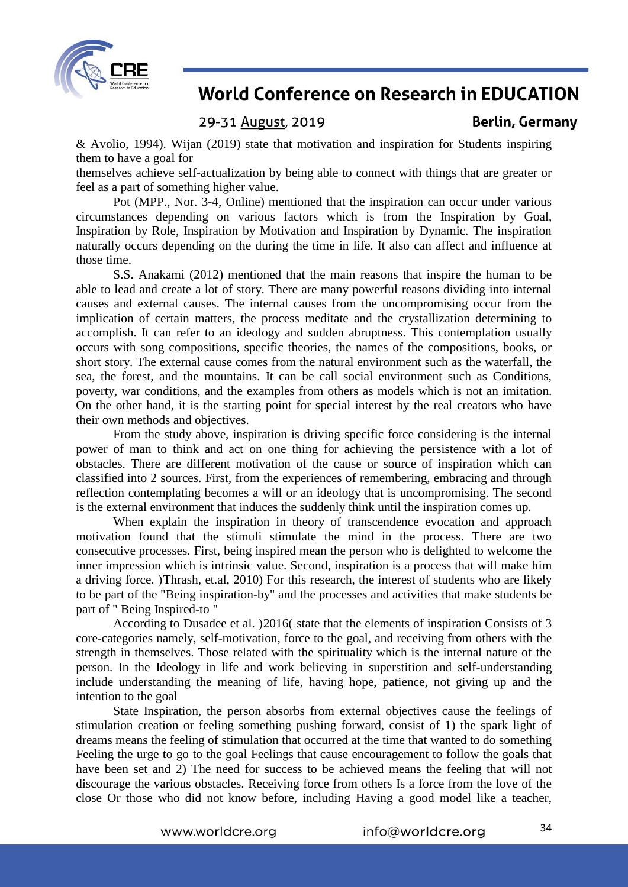

## 29-31 August, 2019

**Berlin, Germany** 

& Avolio, 1994). Wijan (2019) state that motivation and inspiration for Students inspiring them to have a goal for

themselves achieve self-actualization by being able to connect with things that are greater or feel as a part of something higher value.

Pot (MPP., Nor. 3-4, Online) mentioned that the inspiration can occur under various circumstances depending on various factors which is from the Inspiration by Goal, Inspiration by Role, Inspiration by Motivation and Inspiration by Dynamic. The inspiration naturally occurs depending on the during the time in life. It also can affect and influence at those time.

S.S. Anakami (2012) mentioned that the main reasons that inspire the human to be able to lead and create a lot of story. There are many powerful reasons dividing into internal causes and external causes. The internal causes from the uncompromising occur from the implication of certain matters, the process meditate and the crystallization determining to accomplish. It can refer to an ideology and sudden abruptness. This contemplation usually occurs with song compositions, specific theories, the names of the compositions, books, or short story. The external cause comes from the natural environment such as the waterfall, the sea, the forest, and the mountains. It can be call social environment such as Conditions, poverty, war conditions, and the examples from others as models which is not an imitation. On the other hand, it is the starting point for special interest by the real creators who have their own methods and objectives.

From the study above, inspiration is driving specific force considering is the internal power of man to think and act on one thing for achieving the persistence with a lot of obstacles. There are different motivation of the cause or source of inspiration which can classified into 2 sources. First, from the experiences of remembering, embracing and through reflection contemplating becomes a will or an ideology that is uncompromising. The second is the external environment that induces the suddenly think until the inspiration comes up.

When explain the inspiration in theory of transcendence evocation and approach motivation found that the stimuli stimulate the mind in the process. There are two consecutive processes. First, being inspired mean the person who is delighted to welcome the inner impression which is intrinsic value. Second, inspiration is a process that will make him a driving force. (Thrash, et.al, 2010) For this research, the interest of students who are likely to be part of the "Being inspiration-by" and the processes and activities that make students be part of " Being Inspired-to "

According to Dusadee et al. (2016) state that the elements of inspiration Consists of 3 core-categories namely, self-motivation, force to the goal, and receiving from others with the strength in themselves. Those related with the spirituality which is the internal nature of the person. In the Ideology in life and work believing in superstition and self-understanding include understanding the meaning of life, having hope, patience, not giving up and the intention to the goal

State Inspiration, the person absorbs from external objectives cause the feelings of stimulation creation or feeling something pushing forward, consist of 1) the spark light of dreams means the feeling of stimulation that occurred at the time that wanted to do something Feeling the urge to go to the goal Feelings that cause encouragement to follow the goals that have been set and 2) The need for success to be achieved means the feeling that will not discourage the various obstacles. Receiving force from others Is a force from the love of the close Or those who did not know before, including Having a good model like a teacher,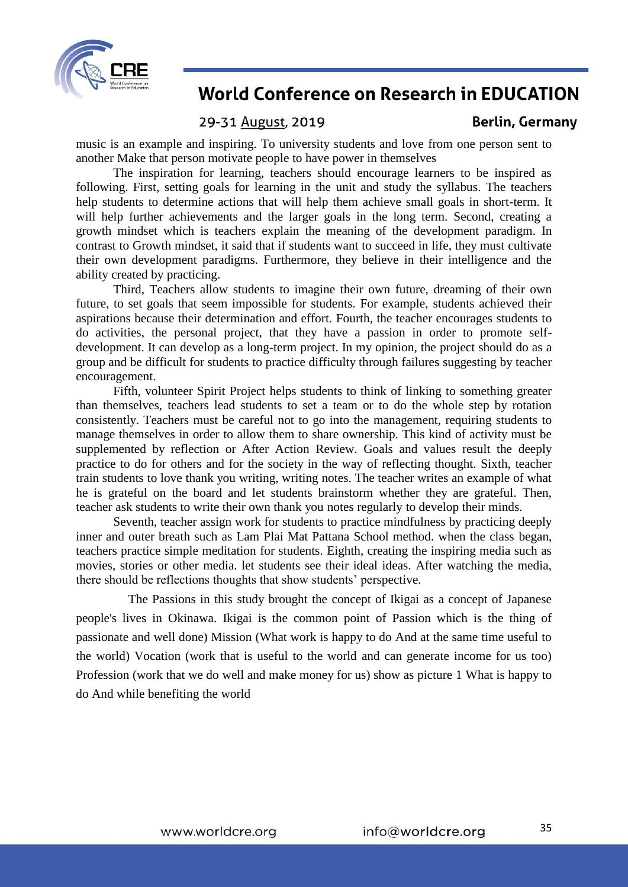

### 29-31 August, 2019

music is an example and inspiring. To university students and love from one person sent to another Make that person motivate people to have power in themselves

The inspiration for learning, teachers should encourage learners to be inspired as following. First, setting goals for learning in the unit and study the syllabus. The teachers help students to determine actions that will help them achieve small goals in short-term. It will help further achievements and the larger goals in the long term. Second, creating a growth mindset which is teachers explain the meaning of the development paradigm. In contrast to Growth mindset, it said that if students want to succeed in life, they must cultivate their own development paradigms. Furthermore, they believe in their intelligence and the ability created by practicing.

Third, Teachers allow students to imagine their own future, dreaming of their own future, to set goals that seem impossible for students. For example, students achieved their aspirations because their determination and effort. Fourth, the teacher encourages students to do activities, the personal project, that they have a passion in order to promote selfdevelopment. It can develop as a long-term project. In my opinion, the project should do as a group and be difficult for students to practice difficulty through failures suggesting by teacher encouragement.

Fifth, volunteer Spirit Project helps students to think of linking to something greater than themselves, teachers lead students to set a team or to do the whole step by rotation consistently. Teachers must be careful not to go into the management, requiring students to manage themselves in order to allow them to share ownership. This kind of activity must be supplemented by reflection or After Action Review. Goals and values result the deeply practice to do for others and for the society in the way of reflecting thought. Sixth, teacher train students to love thank you writing, writing notes. The teacher writes an example of what he is grateful on the board and let students brainstorm whether they are grateful. Then, teacher ask students to write their own thank you notes regularly to develop their minds.

Seventh, teacher assign work for students to practice mindfulness by practicing deeply inner and outer breath such as Lam Plai Mat Pattana School method. when the class began, teachers practice simple meditation for students. Eighth, creating the inspiring media such as movies, stories or other media. let students see their ideal ideas. After watching the media, there should be reflections thoughts that show students' perspective.

The Passions in this study brought the concept of Ikigai as a concept of Japanese people's lives in Okinawa. Ikigai is the common point of Passion which is the thing of passionate and well done) Mission (What work is happy to do And at the same time useful to the world) Vocation (work that is useful to the world and can generate income for us too) Profession (work that we do well and make money for us) show as picture 1 What is happy to do And while benefiting the world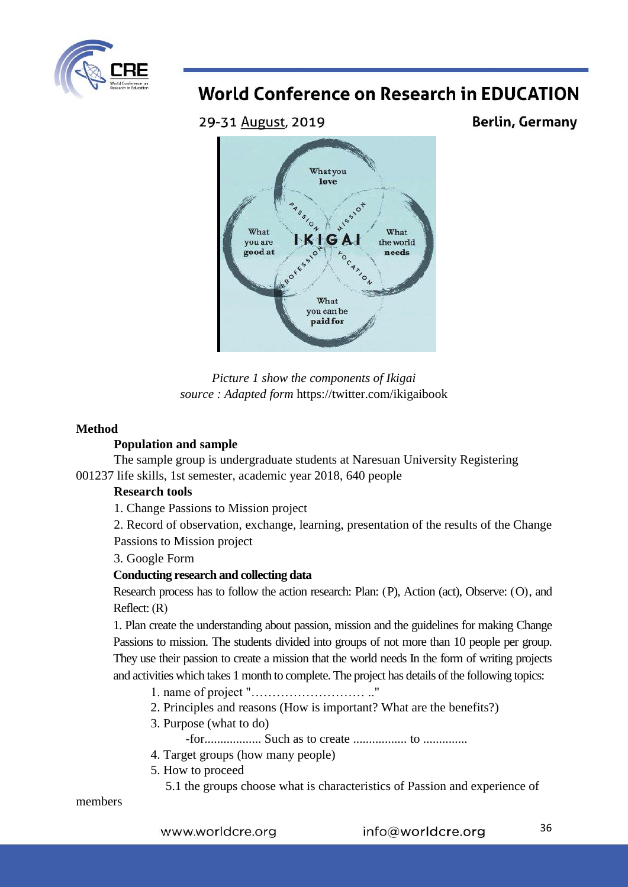

29-31 August, 2019

**Berlin, Germany** 





## **Method**

## **Population and sample**

The sample group is undergraduate students at Naresuan University Registering 001237 life skills, 1st semester, academic year 2018, 640 people

## **Research tools**

1. Change Passions to Mission project

2. Record of observation, exchange, learning, presentation of the results of the Change Passions to Mission project

3. Google Form

## **Conducting research and collecting data**

Research process has to follow the action research: Plan:  $(P)$ , Action (act), Observe:  $(O)$ , and Reflect:  $(R)$ 

1. Plan create the understanding about passion, mission and the guidelines for making Change Passions to mission. The students divided into groups of not more than 10 people per group. They use their passion to create a mission that the world needs In the form of writing projects and activities which takes 1 month to complete. The project has details of the following topics:

- 1. name of project "……………………… .."
- 2. Principles and reasons (How is important? What are the benefits?)
- 3. Purpose (what to do)

-for.................. Such as to create ................. to ..............

- 4. Target groups (how many people)
- 5. How to proceed
	- 5.1 the groups choose what is characteristics of Passion and experience of

members

www.worldcre.org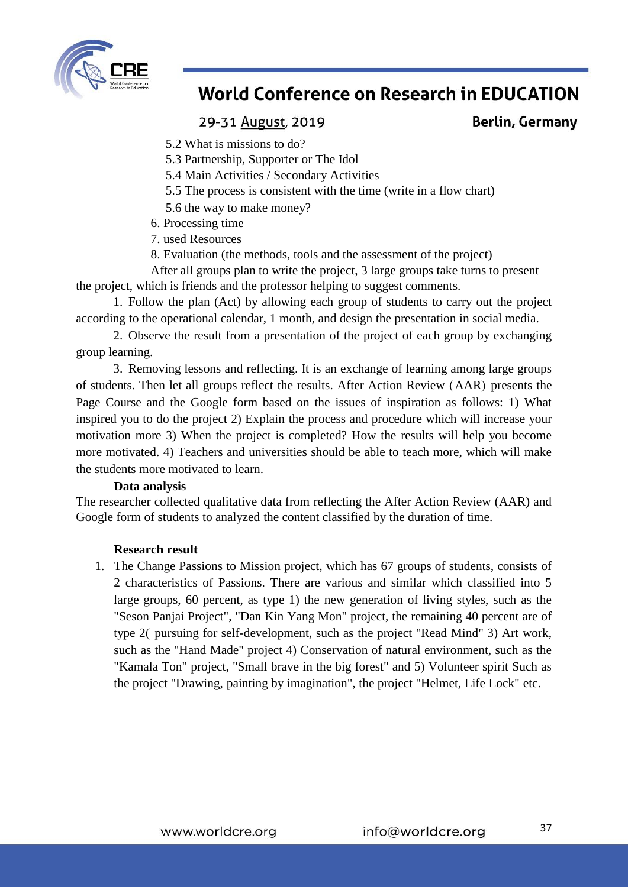

## 29-31 August, 2019

**Berlin, Germany** 

- 5.2 What is missions to do?
- 5.3 Partnership, Supporter or The Idol
- 5.4 Main Activities / Secondary Activities
- 5.5 The process is consistent with the time (write in a flow chart)
- 5.6 the way to make money?
- 6. Processing time
- 7. used Resources
- 8. Evaluation (the methods, tools and the assessment of the project)

After all groups plan to write the project, 3 large groups take turns to present the project, which is friends and the professor helping to suggest comments.

1. Follow the plan (Act) by allowing each group of students to carry out the project according to the operational calendar, 1 month, and design the presentation in social media.

2. Observe the result from a presentation of the project of each group by exchanging group learning.

3. Removing lessons and reflecting. It is an exchange of learning among large groups of students. Then let all groups reflect the results. After Action Review (AAR) presents the Page Course and the Google form based on the issues of inspiration as follows: 1) What inspired you to do the project 2) Explain the process and procedure which will increase your motivation more 3) When the project is completed? How the results will help you become more motivated. 4) Teachers and universities should be able to teach more, which will make the students more motivated to learn.

#### **Data analysis**

The researcher collected qualitative data from reflecting the After Action Review (AAR) and Google form of students to analyzed the content classified by the duration of time.

#### **Research result**

1. The Change Passions to Mission project, which has 67 groups of students, consists of 2 characteristics of Passions. There are various and similar which classified into 5 large groups, 60 percent, as type 1) the new generation of living styles, such as the "Seson Panjai Project", "Dan Kin Yang Mon" project, the remaining 40 percent are of type 2( pursuing for self-development, such as the project "Read Mind" 3) Art work, such as the "Hand Made" project 4) Conservation of natural environment, such as the "Kamala Ton" project, "Small brave in the big forest" and 5) Volunteer spirit Such as the project "Drawing, painting by imagination", the project "Helmet, Life Lock" etc.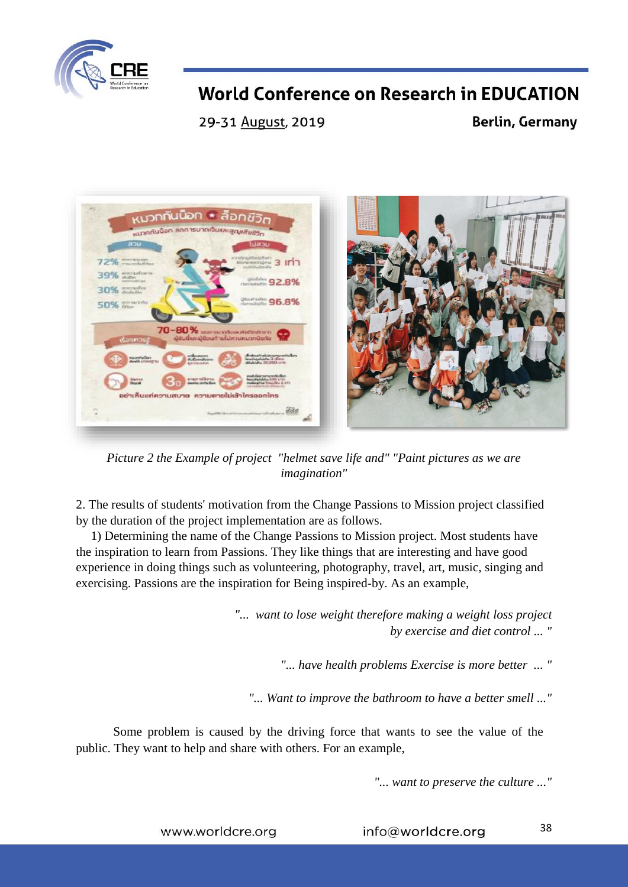

29-31 August, 2019

**Berlin, Germany** 



*Picture 2 the Example of project "helmet save life and" "Paint pictures as we are imagination"*

2. The results of students' motivation from the Change Passions to Mission project classified by the duration of the project implementation are as follows.

1) Determining the name of the Change Passions to Mission project. Most students have the inspiration to learn from Passions. They like things that are interesting and have good experience in doing things such as volunteering, photography, travel, art, music, singing and exercising. Passions are the inspiration for Being inspired-by. As an example,

> *"... want to lose weight therefore making a weight loss project by exercise and diet control ... "*

> > *"... have health problems Exercise is more better ... "*

*"... Want to improve the bathroom to have a better smell ..."*

Some problem is caused by the driving force that wants to see the value of the public. They want to help and share with others. For an example,

*"... want to preserve the culture ..."*

www.worldcre.org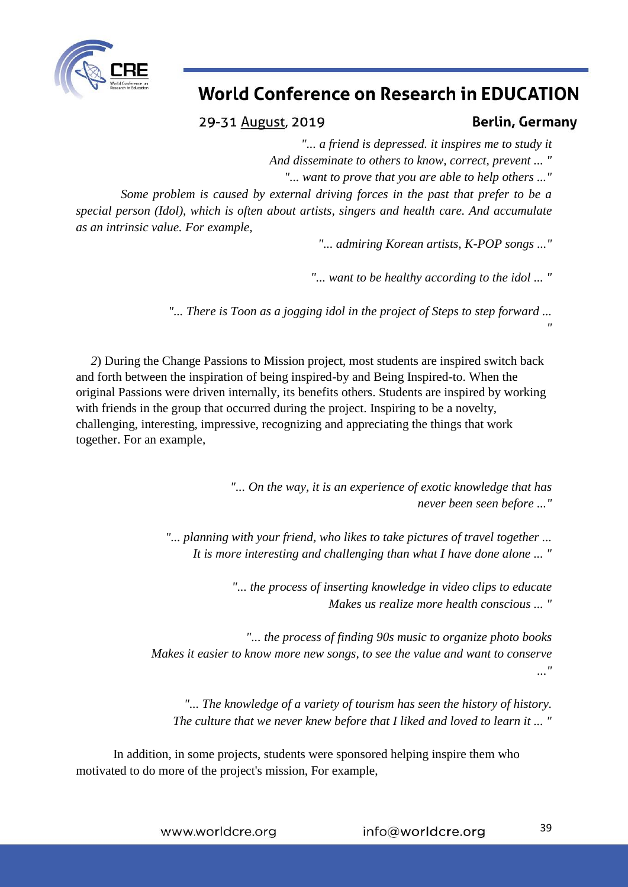

29-31 August, 2019

## **Berlin, Germany**

*"*

*"... a friend is depressed. it inspires me to study it*

*And disseminate to others to know, correct, prevent ... "*

*"... want to prove that you are able to help others ..."*

*Some problem is caused by external driving forces in the past that prefer to be a special person (Idol), which is often about artists, singers and health care. And accumulate as an intrinsic value. For example,*

*"... admiring Korean artists, K-POP songs ..."*

*"... want to be healthy according to the idol ... "*

*"... There is Toon as a jogging idol in the project of Steps to step forward ...* 

*2*) During the Change Passions to Mission project, most students are inspired switch back and forth between the inspiration of being inspired-by and Being Inspired-to. When the original Passions were driven internally, its benefits others. Students are inspired by working with friends in the group that occurred during the project. Inspiring to be a novelty, challenging, interesting, impressive, recognizing and appreciating the things that work together. For an example,

> *"... On the way, it is an experience of exotic knowledge that has never been seen before ..."*

*"... planning with your friend, who likes to take pictures of travel together ... It is more interesting and challenging than what I have done alone ... "*

> *"... the process of inserting knowledge in video clips to educate Makes us realize more health conscious ... "*

*"... the process of finding 90s music to organize photo books Makes it easier to know more new songs, to see the value and want to conserve ..."*

*"... The knowledge of a variety of tourism has seen the history of history. The culture that we never knew before that I liked and loved to learn it ... "*

In addition, in some projects, students were sponsored helping inspire them who motivated to do more of the project's mission, For example,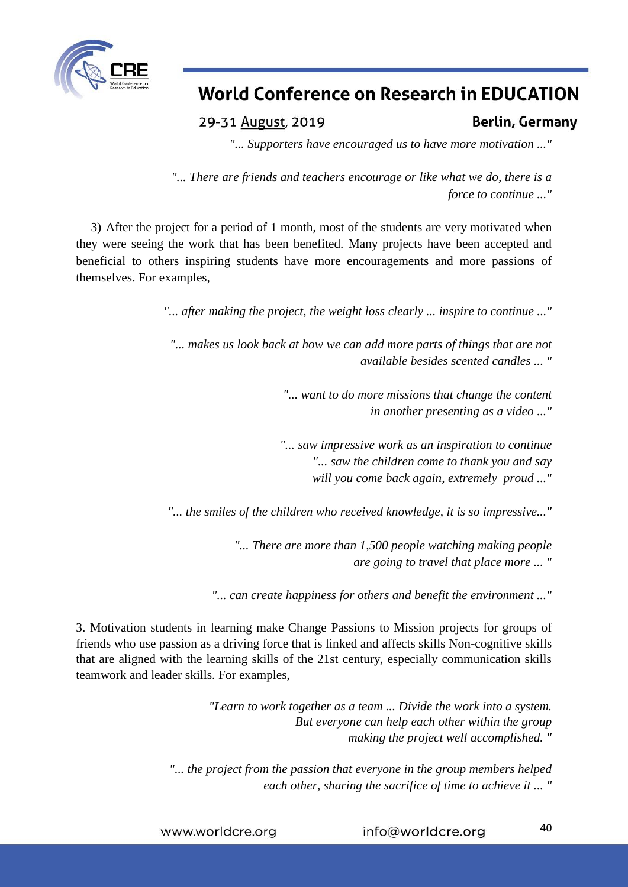

29-31 August, 2019

**Berlin, Germany** 

*"... Supporters have encouraged us to have more motivation ..."*

*"... There are friends and teachers encourage or like what we do, there is a force to continue ..."*

3) After the project for a period of 1 month, most of the students are very motivated when they were seeing the work that has been benefited. Many projects have been accepted and beneficial to others inspiring students have more encouragements and more passions of themselves. For examples,

*"... after making the project, the weight loss clearly ... inspire to continue ..."*

*"... makes us look back at how we can add more parts of things that are not available besides scented candles ... "*

> *"... want to do more missions that change the content in another presenting as a video ..."*

> *"... saw impressive work as an inspiration to continue "... saw the children come to thank you and say will you come back again, extremely proud ..."*

*"... the smiles of the children who received knowledge, it is so impressive..."*

*"... There are more than 1,500 people watching making people are going to travel that place more ... "*

*"... can create happiness for others and benefit the environment ..."*

3. Motivation students in learning make Change Passions to Mission projects for groups of friends who use passion as a driving force that is linked and affects skills Non-cognitive skills that are aligned with the learning skills of the 21st century, especially communication skills teamwork and leader skills. For examples,

> *"Learn to work together as a team ... Divide the work into a system. But everyone can help each other within the group making the project well accomplished. "*

*"... the project from the passion that everyone in the group members helped each other, sharing the sacrifice of time to achieve it ... "*

info@worldcre.org www.worldcre.org

40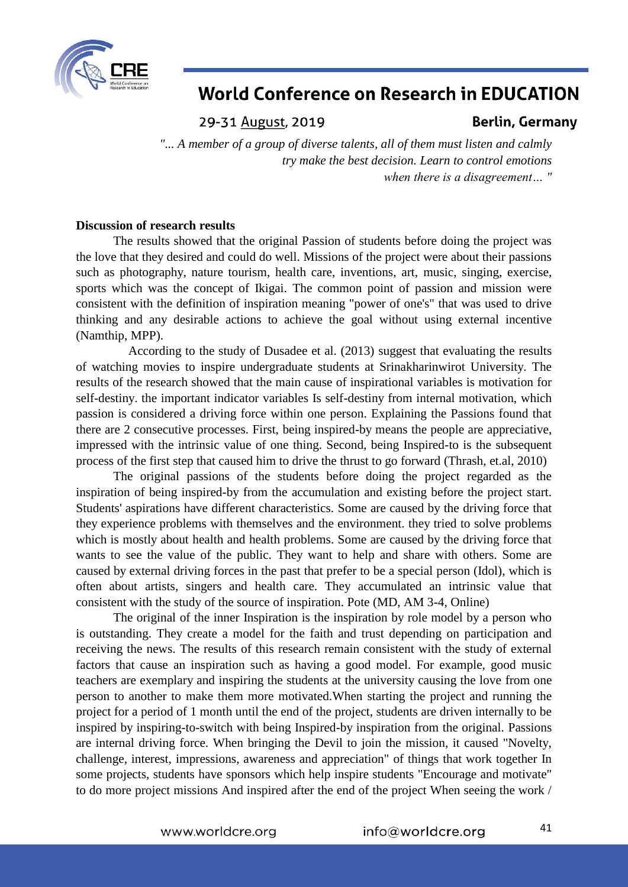

29-31 August, 2019

## **Berlin, Germany**

*"... A member of a group of diverse talents, all of them must listen and calmly try make the best decision. Learn to control emotions when there is a disagreement… "*

#### **Discussion of research results**

The results showed that the original Passion of students before doing the project was the love that they desired and could do well. Missions of the project were about their passions such as photography, nature tourism, health care, inventions, art, music, singing, exercise, sports which was the concept of Ikigai. The common point of passion and mission were consistent with the definition of inspiration meaning "power of one's" that was used to drive thinking and any desirable actions to achieve the goal without using external incentive (Namthip, MPP).

According to the study of Dusadee et al. (2013) suggest that evaluating the results of watching movies to inspire undergraduate students at Srinakharinwirot University. The results of the research showed that the main cause of inspirational variables is motivation for self-destiny. the important indicator variables Is self-destiny from internal motivation, which passion is considered a driving force within one person. Explaining the Passions found that there are 2 consecutive processes. First, being inspired-by means the people are appreciative, impressed with the intrinsic value of one thing. Second, being Inspired-to is the subsequent process of the first step that caused him to drive the thrust to go forward (Thrash, et.al, 2010)

The original passions of the students before doing the project regarded as the inspiration of being inspired-by from the accumulation and existing before the project start. Students' aspirations have different characteristics. Some are caused by the driving force that they experience problems with themselves and the environment. they tried to solve problems which is mostly about health and health problems. Some are caused by the driving force that wants to see the value of the public. They want to help and share with others. Some are caused by external driving forces in the past that prefer to be a special person (Idol), which is often about artists, singers and health care. They accumulated an intrinsic value that consistent with the study of the source of inspiration. Pote (MD, AM 3-4, Online)

The original of the inner Inspiration is the inspiration by role model by a person who is outstanding. They create a model for the faith and trust depending on participation and receiving the news. The results of this research remain consistent with the study of external factors that cause an inspiration such as having a good model. For example, good music teachers are exemplary and inspiring the students at the university causing the love from one person to another to make them more motivated.When starting the project and running the project for a period of 1 month until the end of the project, students are driven internally to be inspired by inspiring-to-switch with being Inspired-by inspiration from the original. Passions are internal driving force. When bringing the Devil to join the mission, it caused "Novelty, challenge, interest, impressions, awareness and appreciation" of things that work together In some projects, students have sponsors which help inspire students "Encourage and motivate" to do more project missions And inspired after the end of the project When seeing the work /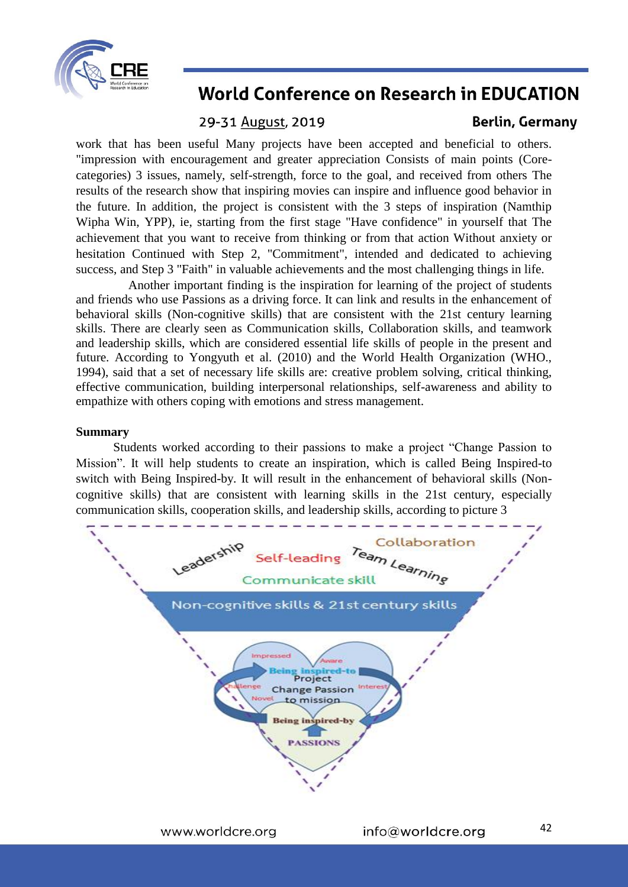

## 29-31 August, 2019

## **Berlin, Germany**

work that has been useful Many projects have been accepted and beneficial to others. "impression with encouragement and greater appreciation Consists of main points (Corecategories) 3 issues, namely, self-strength, force to the goal, and received from others The results of the research show that inspiring movies can inspire and influence good behavior in the future. In addition, the project is consistent with the 3 steps of inspiration (Namthip Wipha Win, YPP), ie, starting from the first stage "Have confidence" in yourself that The achievement that you want to receive from thinking or from that action Without anxiety or hesitation Continued with Step 2, "Commitment", intended and dedicated to achieving success, and Step 3 "Faith" in valuable achievements and the most challenging things in life.

Another important finding is the inspiration for learning of the project of students and friends who use Passions as a driving force. It can link and results in the enhancement of behavioral skills (Non-cognitive skills) that are consistent with the 21st century learning skills. There are clearly seen as Communication skills, Collaboration skills, and teamwork and leadership skills, which are considered essential life skills of people in the present and future. According to Yongyuth et al. (2010) and the World Health Organization (WHO., 1994), said that a set of necessary life skills are: creative problem solving, critical thinking, effective communication, building interpersonal relationships, self-awareness and ability to empathize with others coping with emotions and stress management.

#### **Summary**

Students worked according to their passions to make a project "Change Passion to Mission". It will help students to create an inspiration, which is called Being Inspired-to switch with Being Inspired-by. It will result in the enhancement of behavioral skills (Noncognitive skills) that are consistent with learning skills in the 21st century, especially communication skills, cooperation skills, and leadership skills, according to picture 3

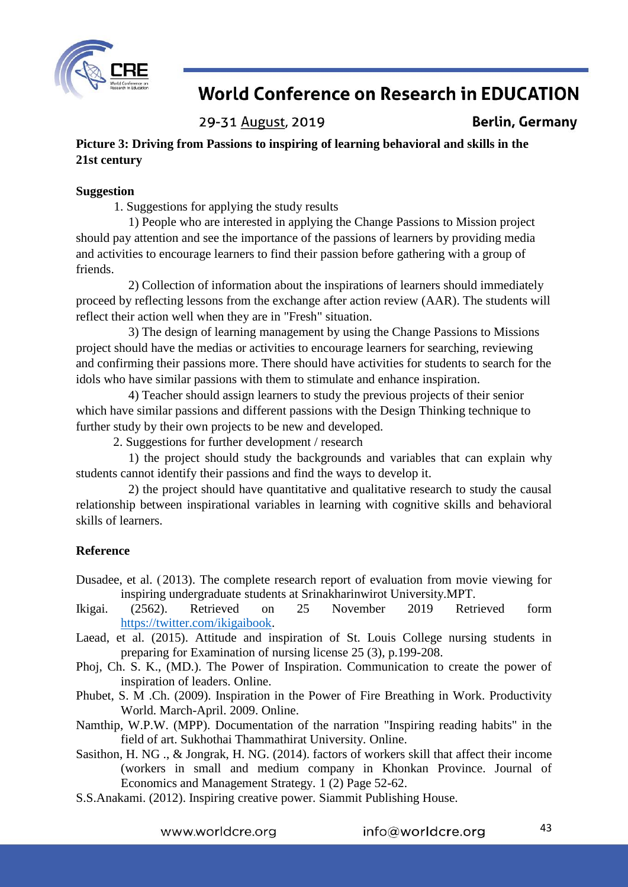

29-31 August, 2019

**Berlin, Germany** 

**Picture 3: Driving from Passions to inspiring of learning behavioral and skills in the 21st century**

### **Suggestion**

1. Suggestions for applying the study results

1) People who are interested in applying the Change Passions to Mission project should pay attention and see the importance of the passions of learners by providing media and activities to encourage learners to find their passion before gathering with a group of friends.

2) Collection of information about the inspirations of learners should immediately proceed by reflecting lessons from the exchange after action review (AAR). The students will reflect their action well when they are in "Fresh" situation.

3) The design of learning management by using the Change Passions to Missions project should have the medias or activities to encourage learners for searching, reviewing and confirming their passions more. There should have activities for students to search for the idols who have similar passions with them to stimulate and enhance inspiration.

4) Teacher should assign learners to study the previous projects of their senior which have similar passions and different passions with the Design Thinking technique to further study by their own projects to be new and developed.

2. Suggestions for further development / research

1) the project should study the backgrounds and variables that can explain why students cannot identify their passions and find the ways to develop it.

2) the project should have quantitative and qualitative research to study the causal relationship between inspirational variables in learning with cognitive skills and behavioral skills of learners.

## **Reference**

Dusadee, et al. (2013). The complete research report of evaluation from movie viewing for inspiring undergraduate students at Srinakharinwirot University.MPT.

- Ikigai. (2562). Retrieved on 25 November 2019 Retrieved form [https://twitter.com/ikigaibook.](https://twitter.com/ikigaibook)
- Laead, et al. (2015). Attitude and inspiration of St. Louis College nursing students in preparing for Examination of nursing license 25 (3), p.199-208.
- Phoj, Ch. S. K., (MD.). The Power of Inspiration. Communication to create the power of inspiration of leaders. Online.
- Phubet, S. M .Ch. (2009). Inspiration in the Power of Fire Breathing in Work. Productivity World. March-April. 2009. Online.
- Namthip, W.P.W. (MPP). Documentation of the narration "Inspiring reading habits" in the field of art. Sukhothai Thammathirat University. Online.
- Sasithon, H. NG ., & Jongrak, H. NG. (2014). factors of workers skill that affect their income (workers in small and medium company in Khonkan Province. Journal of Economics and Management Strategy. 1 (2) Page 52-62.
- S.S.Anakami. (2012). Inspiring creative power. Siammit Publishing House.